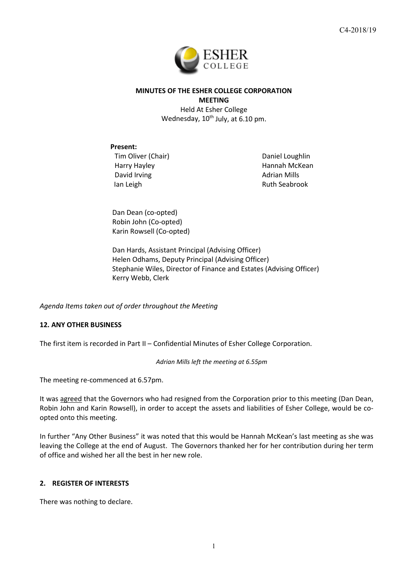

# **MINUTES OF THE ESHER COLLEGE CORPORATION MEETING**

Held At Esher College Wednesday, 10<sup>th</sup> July, at 6.10 pm.

## **Present:**

Tim Oliver (Chair) Harry Hayley David Irving Ian Leigh

Daniel Loughlin Hannah McKean Adrian Mills Ruth Seabrook

Dan Dean (co-opted) Robin John (Co-opted) Karin Rowsell (Co-opted)

Dan Hards, Assistant Principal (Advising Officer) Helen Odhams, Deputy Principal (Advising Officer) Stephanie Wiles, Director of Finance and Estates (Advising Officer) Kerry Webb, Clerk

*Agenda Items taken out of order throughout the Meeting*

# **12. ANY OTHER BUSINESS**

The first item is recorded in Part II – Confidential Minutes of Esher College Corporation.

*Adrian Mills left the meeting at 6.55pm*

The meeting re-commenced at 6.57pm.

It was agreed that the Governors who had resigned from the Corporation prior to this meeting (Dan Dean, Robin John and Karin Rowsell), in order to accept the assets and liabilities of Esher College, would be coopted onto this meeting.

In further "Any Other Business" it was noted that this would be Hannah McKean's last meeting as she was leaving the College at the end of August. The Governors thanked her for her contribution during her term of office and wished her all the best in her new role.

# **2. REGISTER OF INTERESTS**

There was nothing to declare.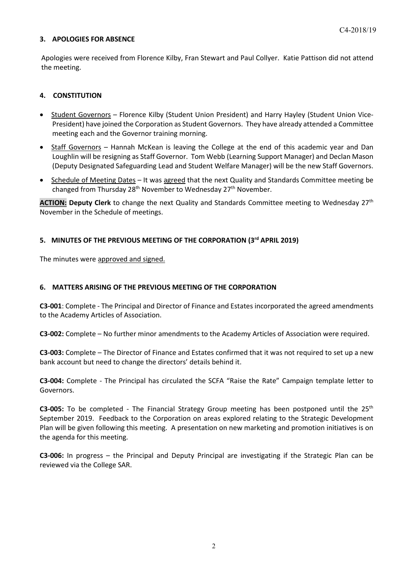#### **3. APOLOGIES FOR ABSENCE**

Apologies were received from Florence Kilby, Fran Stewart and Paul Collyer. Katie Pattison did not attend the meeting.

## **4. CONSTITUTION**

- Student Governors Florence Kilby (Student Union President) and Harry Hayley (Student Union Vice-President) have joined the Corporation as Student Governors. They have already attended a Committee meeting each and the Governor training morning.
- Staff Governors Hannah McKean is leaving the College at the end of this academic year and Dan Loughlin will be resigning as Staff Governor. Tom Webb (Learning Support Manager) and Declan Mason (Deputy Designated Safeguarding Lead and Student Welfare Manager) will be the new Staff Governors.
- Schedule of Meeting Dates It was agreed that the next Quality and Standards Committee meeting be changed from Thursday  $28<sup>th</sup>$  November to Wednesday  $27<sup>th</sup>$  November.

**ACTION: Deputy Clerk** to change the next Quality and Standards Committee meeting to Wednesday 27th November in the Schedule of meetings.

## **5. MINUTES OF THE PREVIOUS MEETING OF THE CORPORATION (3rd APRIL 2019)**

The minutes were approved and signed.

#### **6. MATTERS ARISING OF THE PREVIOUS MEETING OF THE CORPORATION**

**C3-001**: Complete - The Principal and Director of Finance and Estates incorporated the agreed amendments to the Academy Articles of Association.

**C3-002:** Complete – No further minor amendments to the Academy Articles of Association were required.

**C3-003:** Complete – The Director of Finance and Estates confirmed that it was not required to set up a new bank account but need to change the directors' details behind it.

**C3-004:** Complete - The Principal has circulated the SCFA "Raise the Rate" Campaign template letter to Governors.

**C3-005:** To be completed - The Financial Strategy Group meeting has been postponed until the 25th September 2019. Feedback to the Corporation on areas explored relating to the Strategic Development Plan will be given following this meeting. A presentation on new marketing and promotion initiatives is on the agenda for this meeting.

**C3-006:** In progress – the Principal and Deputy Principal are investigating if the Strategic Plan can be reviewed via the College SAR.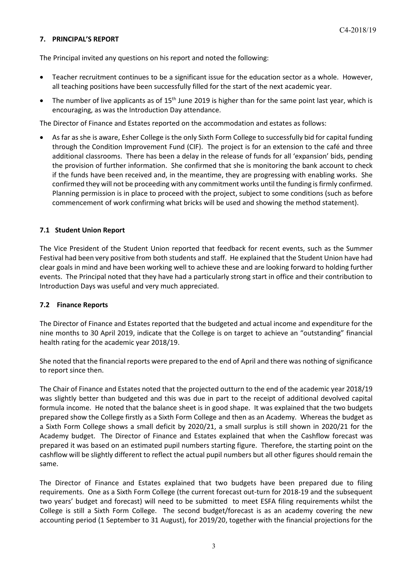## **7. PRINCIPAL'S REPORT**

The Principal invited any questions on his report and noted the following:

- Teacher recruitment continues to be a significant issue for the education sector as a whole. However, all teaching positions have been successfully filled for the start of the next academic year.
- The number of live applicants as of 15<sup>th</sup> June 2019 is higher than for the same point last year, which is encouraging, as was the Introduction Day attendance.

The Director of Finance and Estates reported on the accommodation and estates as follows:

• As far as she is aware, Esher College is the only Sixth Form College to successfully bid for capital funding through the Condition Improvement Fund (CIF). The project is for an extension to the café and three additional classrooms. There has been a delay in the release of funds for all 'expansion' bids, pending the provision of further information. She confirmed that she is monitoring the bank account to check if the funds have been received and, in the meantime, they are progressing with enabling works. She confirmed they will not be proceeding with any commitment works until the funding is firmly confirmed. Planning permission is in place to proceed with the project, subject to some conditions (such as before commencement of work confirming what bricks will be used and showing the method statement).

## **7.1 Student Union Report**

The Vice President of the Student Union reported that feedback for recent events, such as the Summer Festival had been very positive from both students and staff. He explained that the Student Union have had clear goals in mind and have been working well to achieve these and are looking forward to holding further events. The Principal noted that they have had a particularly strong start in office and their contribution to Introduction Days was useful and very much appreciated.

## **7.2 Finance Reports**

The Director of Finance and Estates reported that the budgeted and actual income and expenditure for the nine months to 30 April 2019, indicate that the College is on target to achieve an "outstanding" financial health rating for the academic year 2018/19.

She noted that the financial reports were prepared to the end of April and there was nothing of significance to report since then.

The Chair of Finance and Estates noted that the projected outturn to the end of the academic year 2018/19 was slightly better than budgeted and this was due in part to the receipt of additional devolved capital formula income. He noted that the balance sheet is in good shape. It was explained that the two budgets prepared show the College firstly as a Sixth Form College and then as an Academy. Whereas the budget as a Sixth Form College shows a small deficit by 2020/21, a small surplus is still shown in 2020/21 for the Academy budget. The Director of Finance and Estates explained that when the Cashflow forecast was prepared it was based on an estimated pupil numbers starting figure. Therefore, the starting point on the cashflow will be slightly different to reflect the actual pupil numbers but all other figures should remain the same.

The Director of Finance and Estates explained that two budgets have been prepared due to filing requirements. One as a Sixth Form College (the current forecast out-turn for 2018-19 and the subsequent two years' budget and forecast) will need to be submitted to meet ESFA filing requirements whilst the College is still a Sixth Form College. The second budget/forecast is as an academy covering the new accounting period (1 September to 31 August), for 2019/20, together with the financial projections for the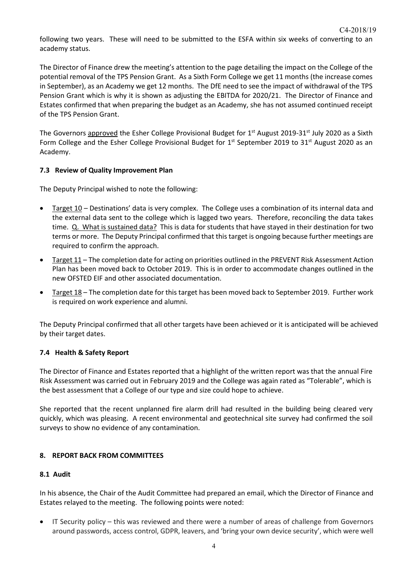following two years. These will need to be submitted to the ESFA within six weeks of converting to an academy status.

The Director of Finance drew the meeting's attention to the page detailing the impact on the College of the potential removal of the TPS Pension Grant. As a Sixth Form College we get 11 months (the increase comes in September), as an Academy we get 12 months. The DfE need to see the impact of withdrawal of the TPS Pension Grant which is why it is shown as adjusting the EBITDA for 2020/21. The Director of Finance and Estates confirmed that when preparing the budget as an Academy, she has not assumed continued receipt of the TPS Pension Grant.

The Governors approved the Esher College Provisional Budget for 1<sup>st</sup> August 2019-31<sup>st</sup> July 2020 as a Sixth Form College and the Esher College Provisional Budget for  $1<sup>st</sup>$  September 2019 to 31<sup>st</sup> August 2020 as an Academy.

## **7.3 Review of Quality Improvement Plan**

The Deputy Principal wished to note the following:

- Target 10 Destinations' data is very complex. The College uses a combination of its internal data and the external data sent to the college which is lagged two years. Therefore, reconciling the data takes time. Q. What is sustained data? This is data for students that have stayed in their destination for two terms or more. The Deputy Principal confirmed that this target is ongoing because further meetings are required to confirm the approach.
- Target 11 The completion date for acting on priorities outlined in the PREVENT Risk Assessment Action Plan has been moved back to October 2019. This is in order to accommodate changes outlined in the new OFSTED EIF and other associated documentation.
- Target 18 The completion date for this target has been moved back to September 2019. Further work is required on work experience and alumni.

The Deputy Principal confirmed that all other targets have been achieved or it is anticipated will be achieved by their target dates.

## **7.4 Health & Safety Report**

The Director of Finance and Estates reported that a highlight of the written report was that the annual Fire Risk Assessment was carried out in February 2019 and the College was again rated as "Tolerable", which is the best assessment that a College of our type and size could hope to achieve.

She reported that the recent unplanned fire alarm drill had resulted in the building being cleared very quickly, which was pleasing. A recent environmental and geotechnical site survey had confirmed the soil surveys to show no evidence of any contamination.

#### **8. REPORT BACK FROM COMMITTEES**

#### **8.1 Audit**

In his absence, the Chair of the Audit Committee had prepared an email, which the Director of Finance and Estates relayed to the meeting. The following points were noted:

• IT Security policy – this was reviewed and there were a number of areas of challenge from Governors around passwords, access control, GDPR, leavers, and 'bring your own device security', which were well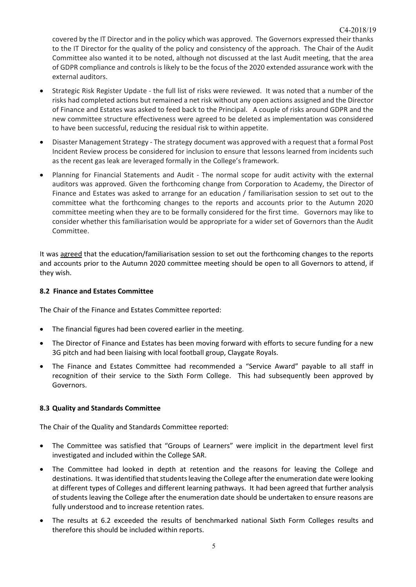covered by the IT Director and in the policy which was approved. The Governors expressed their thanks to the IT Director for the quality of the policy and consistency of the approach. The Chair of the Audit Committee also wanted it to be noted, although not discussed at the last Audit meeting, that the area of GDPR compliance and controls is likely to be the focus of the 2020 extended assurance work with the external auditors.

- Strategic Risk Register Update the full list of risks were reviewed. It was noted that a number of the risks had completed actions but remained a net risk without any open actions assigned and the Director of Finance and Estates was asked to feed back to the Principal. A couple of risks around GDPR and the new committee structure effectiveness were agreed to be deleted as implementation was considered to have been successful, reducing the residual risk to within appetite.
- Disaster Management Strategy The strategy document was approved with a request that a formal Post Incident Review process be considered for inclusion to ensure that lessons learned from incidents such as the recent gas leak are leveraged formally in the College's framework.
- Planning for Financial Statements and Audit The normal scope for audit activity with the external auditors was approved. Given the forthcoming change from Corporation to Academy, the Director of Finance and Estates was asked to arrange for an education / familiarisation session to set out to the committee what the forthcoming changes to the reports and accounts prior to the Autumn 2020 committee meeting when they are to be formally considered for the first time. Governors may like to consider whether this familiarisation would be appropriate for a wider set of Governors than the Audit Committee.

It was agreed that the education/familiarisation session to set out the forthcoming changes to the reports and accounts prior to the Autumn 2020 committee meeting should be open to all Governors to attend, if they wish.

## **8.2 Finance and Estates Committee**

The Chair of the Finance and Estates Committee reported:

- The financial figures had been covered earlier in the meeting.
- The Director of Finance and Estates has been moving forward with efforts to secure funding for a new 3G pitch and had been liaising with local football group, Claygate Royals.
- The Finance and Estates Committee had recommended a "Service Award" payable to all staff in recognition of their service to the Sixth Form College. This had subsequently been approved by Governors.

## **8.3 Quality and Standards Committee**

The Chair of the Quality and Standards Committee reported:

- The Committee was satisfied that "Groups of Learners" were implicit in the department level first investigated and included within the College SAR.
- The Committee had looked in depth at retention and the reasons for leaving the College and destinations. It was identified that students leaving the College after the enumeration date were looking at different types of Colleges and different learning pathways. It had been agreed that further analysis of students leaving the College after the enumeration date should be undertaken to ensure reasons are fully understood and to increase retention rates.
- The results at 6.2 exceeded the results of benchmarked national Sixth Form Colleges results and therefore this should be included within reports.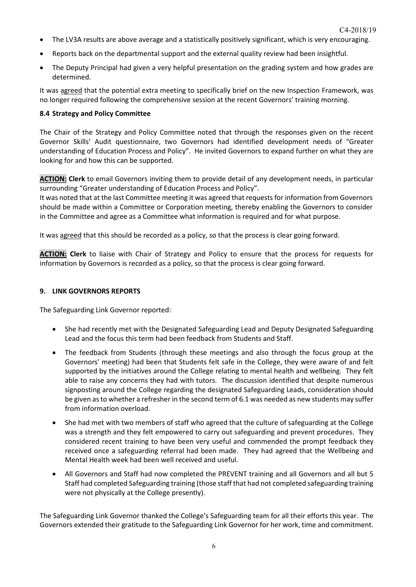- The LV3A results are above average and a statistically positively significant, which is very encouraging.
- Reports back on the departmental support and the external quality review had been insightful.
- The Deputy Principal had given a very helpful presentation on the grading system and how grades are determined.

It was agreed that the potential extra meeting to specifically brief on the new Inspection Framework, was no longer required following the comprehensive session at the recent Governors' training morning.

#### **8.4 Strategy and Policy Committee**

The Chair of the Strategy and Policy Committee noted that through the responses given on the recent Governor Skills' Audit questionnaire, two Governors had identified development needs of "Greater understanding of Education Process and Policy". He invited Governors to expand further on what they are looking for and how this can be supported.

**ACTION: Clerk** to email Governors inviting them to provide detail of any development needs, in particular surrounding "Greater understanding of Education Process and Policy".

It was noted that at the last Committee meeting it was agreed that requests for information from Governors should be made within a Committee or Corporation meeting, thereby enabling the Governors to consider in the Committee and agree as a Committee what information is required and for what purpose.

It was agreed that this should be recorded as a policy, so that the process is clear going forward.

**ACTION: Clerk** to liaise with Chair of Strategy and Policy to ensure that the process for requests for information by Governors is recorded as a policy, so that the process is clear going forward.

#### **9. LINK GOVERNORS REPORTS**

The Safeguarding Link Governor reported:

- She had recently met with the Designated Safeguarding Lead and Deputy Designated Safeguarding Lead and the focus this term had been feedback from Students and Staff.
- The feedback from Students (through these meetings and also through the focus group at the Governors' meeting) had been that Students felt safe in the College, they were aware of and felt supported by the initiatives around the College relating to mental health and wellbeing. They felt able to raise any concerns they had with tutors. The discussion identified that despite numerous signposting around the College regarding the designated Safeguarding Leads, consideration should be given as to whether a refresher in the second term of 6.1 was needed as new students may suffer from information overload.
- She had met with two members of staff who agreed that the culture of safeguarding at the College was a strength and they felt empowered to carry out safeguarding and prevent procedures. They considered recent training to have been very useful and commended the prompt feedback they received once a safeguarding referral had been made. They had agreed that the Wellbeing and Mental Health week had been well received and useful.
- All Governors and Staff had now completed the PREVENT training and all Governors and all but 5 Staff had completed Safeguarding training (those staff that had not completed safeguarding training were not physically at the College presently).

The Safeguarding Link Governor thanked the College's Safeguarding team for all their efforts this year. The Governors extended their gratitude to the Safeguarding Link Governor for her work, time and commitment.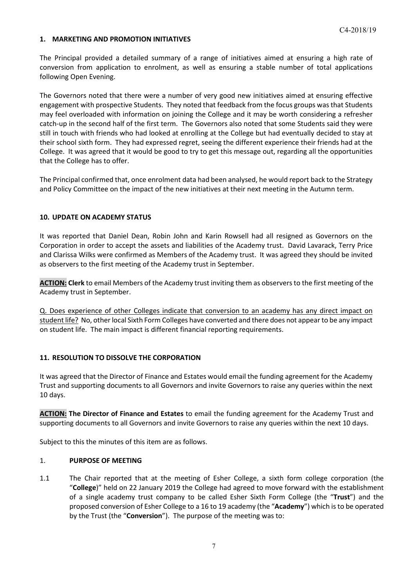#### **1. MARKETING AND PROMOTION INITIATIVES**

The Principal provided a detailed summary of a range of initiatives aimed at ensuring a high rate of conversion from application to enrolment, as well as ensuring a stable number of total applications following Open Evening.

The Governors noted that there were a number of very good new initiatives aimed at ensuring effective engagement with prospective Students. They noted that feedback from the focus groups was that Students may feel overloaded with information on joining the College and it may be worth considering a refresher catch-up in the second half of the first term. The Governors also noted that some Students said they were still in touch with friends who had looked at enrolling at the College but had eventually decided to stay at their school sixth form. They had expressed regret, seeing the different experience their friends had at the College. It was agreed that it would be good to try to get this message out, regarding all the opportunities that the College has to offer.

The Principal confirmed that, once enrolment data had been analysed, he would report back to the Strategy and Policy Committee on the impact of the new initiatives at their next meeting in the Autumn term.

## **10. UPDATE ON ACADEMY STATUS**

It was reported that Daniel Dean, Robin John and Karin Rowsell had all resigned as Governors on the Corporation in order to accept the assets and liabilities of the Academy trust. David Lavarack, Terry Price and Clarissa Wilks were confirmed as Members of the Academy trust. It was agreed they should be invited as observers to the first meeting of the Academy trust in September.

**ACTION: Clerk** to email Members of the Academy trust inviting them as observers to the first meeting of the Academy trust in September.

Q. Does experience of other Colleges indicate that conversion to an academy has any direct impact on student life? No, other local Sixth Form Colleges have converted and there does not appear to be any impact on student life. The main impact is different financial reporting requirements.

## **11. RESOLUTION TO DISSOLVE THE CORPORATION**

It was agreed that the Director of Finance and Estates would email the funding agreement for the Academy Trust and supporting documents to all Governors and invite Governors to raise any queries within the next 10 days.

**ACTION: The Director of Finance and Estates** to email the funding agreement for the Academy Trust and supporting documents to all Governors and invite Governors to raise any queries within the next 10 days.

Subject to this the minutes of this item are as follows.

#### 1. **PURPOSE OF MEETING**

1.1 The Chair reported that at the meeting of Esher College, a sixth form college corporation (the "**College**)" held on 22 January 2019 the College had agreed to move forward with the establishment of a single academy trust company to be called Esher Sixth Form College (the "**Trust**") and the proposed conversion of Esher College to a 16 to 19 academy (the "**Academy**") which is to be operated by the Trust (the "**Conversion**"). The purpose of the meeting was to: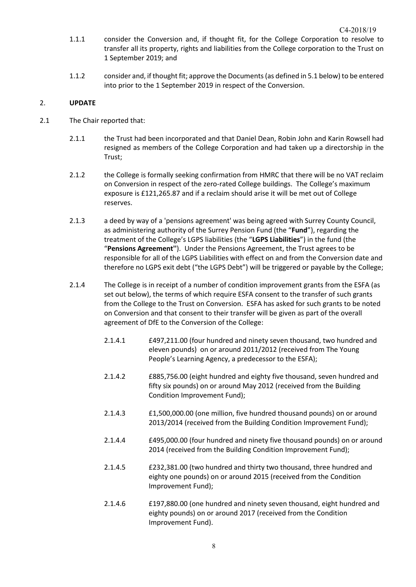- 1.1.1 consider the Conversion and, if thought fit, for the College Corporation to resolve to transfer all its property, rights and liabilities from the College corporation to the Trust on 1 September 2019; and
- 1.1.2 consider and, if thought fit; approve the Documents (as defined in 5.1 below) to be entered into prior to the 1 September 2019 in respect of the Conversion.

## 2. **UPDATE**

- 2.1 The Chair reported that:
	- 2.1.1 the Trust had been incorporated and that Daniel Dean, Robin John and Karin Rowsell had resigned as members of the College Corporation and had taken up a directorship in the Trust;
	- 2.1.2 the College is formally seeking confirmation from HMRC that there will be no VAT reclaim on Conversion in respect of the zero-rated College buildings. The College's maximum exposure is £121,265.87 and if a reclaim should arise it will be met out of College reserves.
	- 2.1.3 a deed by way of a 'pensions agreement' was being agreed with Surrey County Council, as administering authority of the Surrey Pension Fund (the "**Fund**"), regarding the treatment of the College's LGPS liabilities (the "**LGPS Liabilities**") in the fund (the "**Pensions Agreement''**). Under the Pensions Agreement, the Trust agrees to be responsible for all of the LGPS Liabilities with effect on and from the Conversion date and therefore no LGPS exit debt ("the LGPS Debt") will be triggered or payable by the College;
	- 2.1.4 The College is in receipt of a number of condition improvement grants from the ESFA (as set out below), the terms of which require ESFA consent to the transfer of such grants from the College to the Trust on Conversion. ESFA has asked for such grants to be noted on Conversion and that consent to their transfer will be given as part of the overall agreement of DfE to the Conversion of the College:
		- 2.1.4.1 £497,211.00 (four hundred and ninety seven thousand, two hundred and eleven pounds) on or around 2011/2012 (received from The Young People's Learning Agency, a predecessor to the ESFA);
		- 2.1.4.2 £885,756.00 (eight hundred and eighty five thousand, seven hundred and fifty six pounds) on or around May 2012 (received from the Building Condition Improvement Fund);
		- 2.1.4.3 £1,500,000.00 (one million, five hundred thousand pounds) on or around 2013/2014 (received from the Building Condition Improvement Fund);
		- 2.1.4.4 £495,000.00 (four hundred and ninety five thousand pounds) on or around 2014 (received from the Building Condition Improvement Fund);
		- 2.1.4.5 £232,381.00 (two hundred and thirty two thousand, three hundred and eighty one pounds) on or around 2015 (received from the Condition Improvement Fund);
		- 2.1.4.6 £197,880.00 (one hundred and ninety seven thousand, eight hundred and eighty pounds) on or around 2017 (received from the Condition Improvement Fund).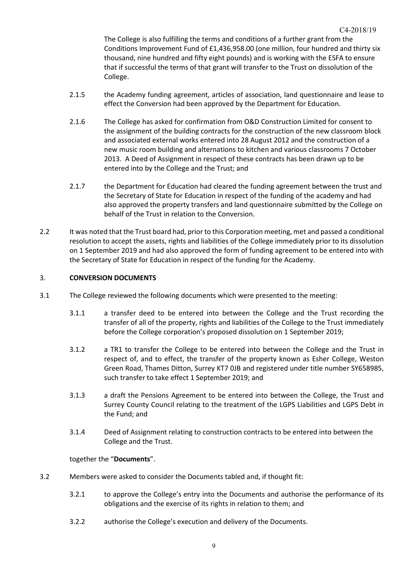The College is also fulfilling the terms and conditions of a further grant from the Conditions Improvement Fund of £1,436,958.00 (one million, four hundred and thirty six thousand, nine hundred and fifty eight pounds) and is working with the ESFA to ensure that if successful the terms of that grant will transfer to the Trust on dissolution of the College.

- 2.1.5 the Academy funding agreement, articles of association, land questionnaire and lease to effect the Conversion had been approved by the Department for Education.
- 2.1.6 The College has asked for confirmation from O&D Construction Limited for consent to the assignment of the building contracts for the construction of the new classroom block and associated external works entered into 28 August 2012 and the construction of a new music room building and alternations to kitchen and various classrooms 7 October 2013. A Deed of Assignment in respect of these contracts has been drawn up to be entered into by the College and the Trust; and
- 2.1.7 the Department for Education had cleared the funding agreement between the trust and the Secretary of State for Education in respect of the funding of the academy and had also approved the property transfers and land questionnaire submitted by the College on behalf of the Trust in relation to the Conversion.
- 2.2 It was noted that the Trust board had, prior to this Corporation meeting, met and passed a conditional resolution to accept the assets, rights and liabilities of the College immediately prior to its dissolution on 1 September 2019 and had also approved the form of funding agreement to be entered into with the Secretary of State for Education in respect of the funding for the Academy.

## 3. **CONVERSION DOCUMENTS**

- 3.1 The College reviewed the following documents which were presented to the meeting:
	- 3.1.1 a transfer deed to be entered into between the College and the Trust recording the transfer of all of the property, rights and liabilities of the College to the Trust immediately before the College corporation's proposed dissolution on 1 September 2019;
	- 3.1.2 a TR1 to transfer the College to be entered into between the College and the Trust in respect of, and to effect, the transfer of the property known as Esher College, Weston Green Road, Thames Ditton, Surrey KT7 0JB and registered under title number SY658985, such transfer to take effect 1 September 2019; and
	- 3.1.3 a draft the Pensions Agreement to be entered into between the College, the Trust and Surrey County Council relating to the treatment of the LGPS Liabilities and LGPS Debt in the Fund; and
	- 3.1.4 Deed of Assignment relating to construction contracts to be entered into between the College and the Trust.

## together the "**Documents**".

- 3.2 Members were asked to consider the Documents tabled and, if thought fit:
	- 3.2.1 to approve the College's entry into the Documents and authorise the performance of its obligations and the exercise of its rights in relation to them; and
	- 3.2.2 authorise the College's execution and delivery of the Documents.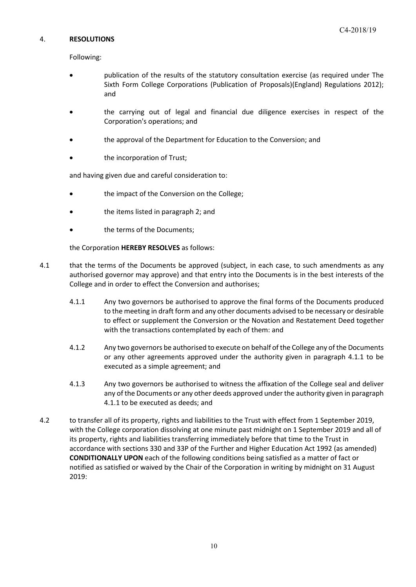#### 4. **RESOLUTIONS**

Following:

- publication of the results of the statutory consultation exercise (as required under The Sixth Form College Corporations (Publication of Proposals)(England) Regulations 2012); and
- the carrying out of legal and financial due diligence exercises in respect of the Corporation's operations; and
- the approval of the Department for Education to the Conversion; and
- the incorporation of Trust;

and having given due and careful consideration to:

- the impact of the Conversion on the College;
- the items listed in paragraph 2; and
- the terms of the Documents;

the Corporation **HEREBY RESOLVES** as follows:

- 4.1 that the terms of the Documents be approved (subject, in each case, to such amendments as any authorised governor may approve) and that entry into the Documents is in the best interests of the College and in order to effect the Conversion and authorises;
	- 4.1.1 Any two governors be authorised to approve the final forms of the Documents produced to the meeting in draft form and any other documents advised to be necessary or desirable to effect or supplement the Conversion or the Novation and Restatement Deed together with the transactions contemplated by each of them: and
	- 4.1.2 Any two governors be authorised to execute on behalf of the College any of the Documents or any other agreements approved under the authority given in paragraph 4.1.1 to be executed as a simple agreement; and
	- 4.1.3 Any two governors be authorised to witness the affixation of the College seal and deliver any of the Documents or any other deeds approved under the authority given in paragraph 4.1.1 to be executed as deeds; and
- 4.2 to transfer all of its property, rights and liabilities to the Trust with effect from 1 September 2019, with the College corporation dissolving at one minute past midnight on 1 September 2019 and all of its property, rights and liabilities transferring immediately before that time to the Trust in accordance with sections 330 and 33P of the Further and Higher Education Act 1992 (as amended) **CONDITIONALLY UPON** each of the following conditions being satisfied as a matter of fact or notified as satisfied or waived by the Chair of the Corporation in writing by midnight on 31 August 2019: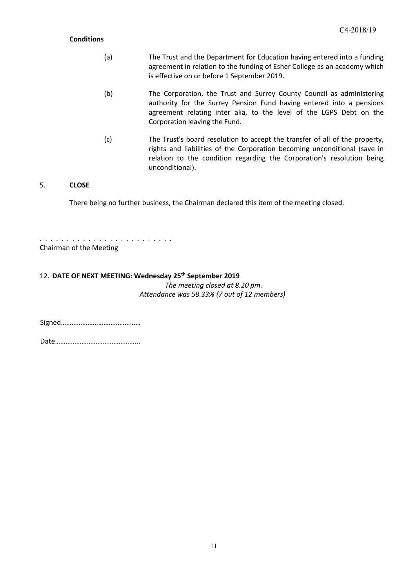#### **Conditions**

- (a) The Trust and the Department for Education having entered into a funding agreement in relation to the funding of Esher College as an academy which is effective on or before 1 September 2019.
- (b) The Corporation, the Trust and Surrey County Council as administering authority for the Surrey Pension Fund having entered into a pensions agreement relating inter alia, to the level of the LGPS Debt on the Corporation leaving the Fund.
- (c) The Trust's board resolution to accept the transfer of all of the property, rights and liabilities of the Corporation becoming unconditional (save in relation to the condition regarding the Corporation's resolution being unconditional).

## 5. **CLOSE**

There being no further business, the Chairman declared this item of the meeting closed.

. . . . . . . . . . . . . . . . . . . . . . . . . Chairman of the Meeting

# 12. **DATE OF NEXT MEETING: Wednesday 25th September 2019**

*The meeting closed at 8.20 pm. Attendance was 58.33% (7 out of 12 members)*

Signed………………………………………

Date………………………………………...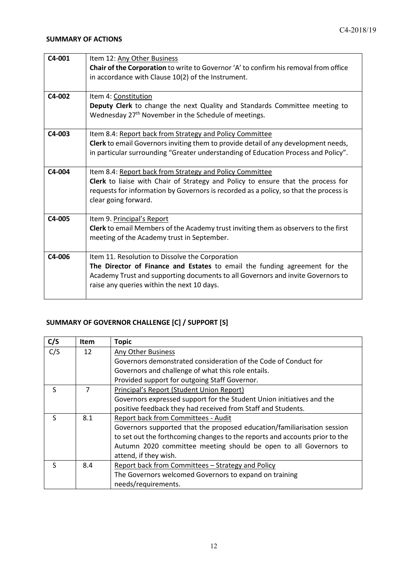| $C4-001$ | Item 12: Any Other Business                                                             |
|----------|-----------------------------------------------------------------------------------------|
|          | Chair of the Corporation to write to Governor 'A' to confirm his removal from office    |
|          | in accordance with Clause 10(2) of the Instrument.                                      |
|          |                                                                                         |
| C4-002   | Item 4: Constitution                                                                    |
|          | Deputy Clerk to change the next Quality and Standards Committee meeting to              |
|          | Wednesday 27 <sup>th</sup> November in the Schedule of meetings.                        |
|          |                                                                                         |
| C4-003   | Item 8.4: Report back from Strategy and Policy Committee                                |
|          | Clerk to email Governors inviting them to provide detail of any development needs,      |
|          | in particular surrounding "Greater understanding of Education Process and Policy".      |
|          |                                                                                         |
| $C4-004$ | Item 8.4: Report back from Strategy and Policy Committee                                |
|          | <b>Clerk</b> to liaise with Chair of Strategy and Policy to ensure that the process for |
|          | requests for information by Governors is recorded as a policy, so that the process is   |
|          | clear going forward.                                                                    |
|          |                                                                                         |
| C4-005   | Item 9. Principal's Report                                                              |
|          | Clerk to email Members of the Academy trust inviting them as observers to the first     |
|          | meeting of the Academy trust in September.                                              |
|          |                                                                                         |
| C4-006   | Item 11. Resolution to Dissolve the Corporation                                         |
|          | The Director of Finance and Estates to email the funding agreement for the              |
|          | Academy Trust and supporting documents to all Governors and invite Governors to         |
|          | raise any queries within the next 10 days.                                              |
|          |                                                                                         |

# **SUMMARY OF GOVERNOR CHALLENGE [C] / SUPPORT [S]**

| C/S | <b>Item</b> | <b>Topic</b>                                                                |
|-----|-------------|-----------------------------------------------------------------------------|
| C/S | 12          | Any Other Business                                                          |
|     |             | Governors demonstrated consideration of the Code of Conduct for             |
|     |             | Governors and challenge of what this role entails.                          |
|     |             | Provided support for outgoing Staff Governor.                               |
| S   | 7           | Principal's Report (Student Union Report)                                   |
|     |             | Governors expressed support for the Student Union initiatives and the       |
|     |             | positive feedback they had received from Staff and Students.                |
| S   | 8.1         | Report back from Committees - Audit                                         |
|     |             | Governors supported that the proposed education/familiarisation session     |
|     |             | to set out the forthcoming changes to the reports and accounts prior to the |
|     |             | Autumn 2020 committee meeting should be open to all Governors to            |
|     |             | attend, if they wish.                                                       |
| S   | 8.4         | Report back from Committees - Strategy and Policy                           |
|     |             | The Governors welcomed Governors to expand on training                      |
|     |             | needs/requirements.                                                         |